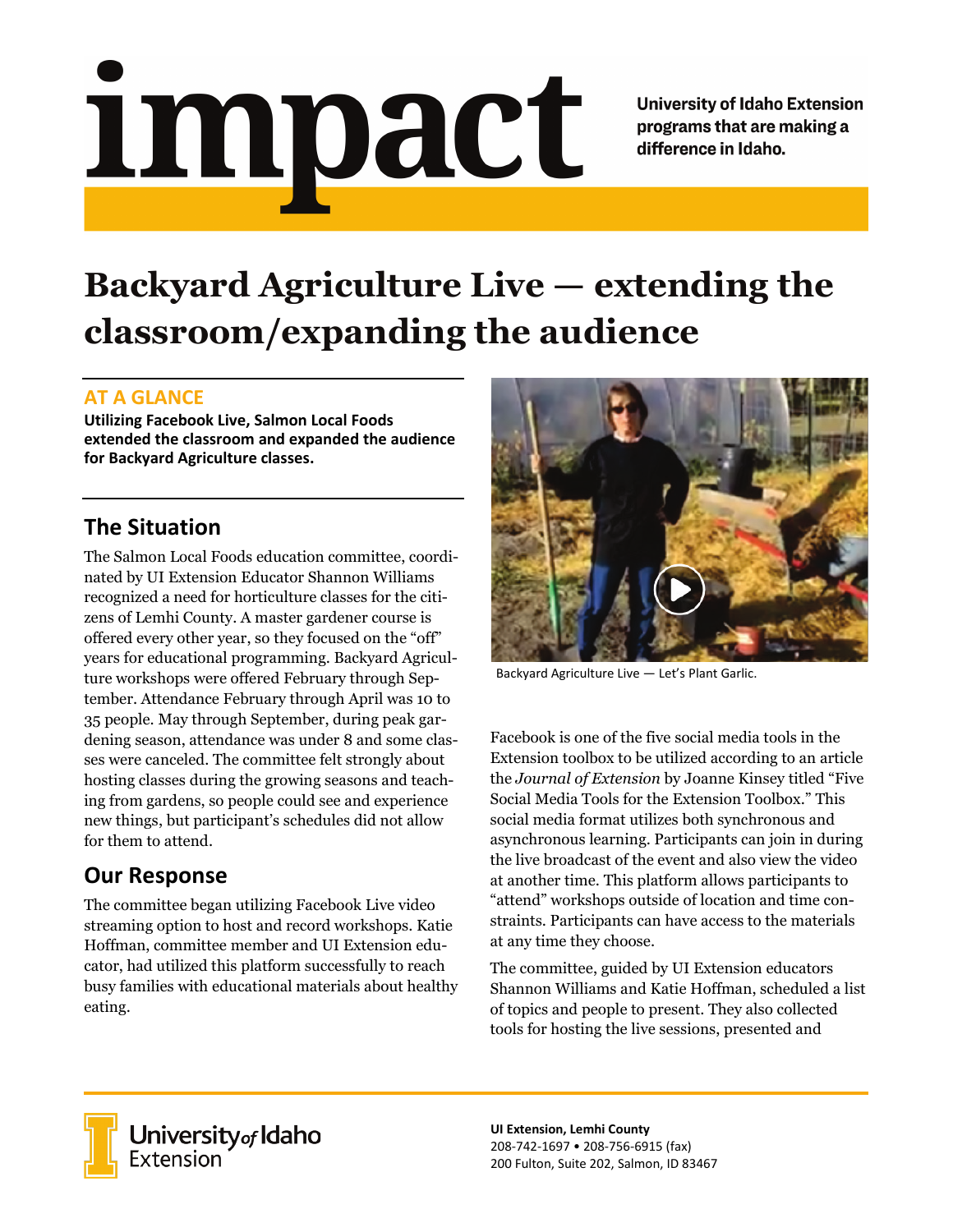# <u>impact</u>

**University of Idaho Extension** programs that are making a difference in Idaho.

# **Backyard Agriculture Live — extending the classroom/expanding the audience**

### **AT A GLANCE**

**Utilizing Facebook Live, Salmon Local Foods extended the classroom and expanded the audience for Backyard Agriculture classes.**

# **The Situation**

The Salmon Local Foods education committee, coordinated by UI Extension Educator Shannon Williams recognized a need for horticulture classes for the citizens of Lemhi County. A master gardener course is offered every other year, so they focused on the "off" years for educational programming. Backyard Agriculture workshops were offered February through September. Attendance February through April was 10 to 35 people. May through September, during peak gardening season, attendance was under 8 and some classes were canceled. The committee felt strongly about hosting classes during the growing seasons and teaching from gardens, so people could see and experience new things, but participant's schedules did not allow for them to attend.

### **Our Response**

The committee began utilizing Facebook Live video streaming option to host and record workshops. Katie Hoffman, committee member and UI Extension educator, had utilized this platform successfully to reach busy families with educational materials about healthy eating.



Backyard Agriculture Live — Let's Plant Garlic.

Facebook is one of the five social media tools in the Extension toolbox to be utilized according to an article the *Journal of Extension* by Joanne Kinsey titled "Five Social Media Tools for the Extension Toolbox." This social media format utilizes both synchronous and asynchronous learning. Participants can join in during the live broadcast of the event and also view the video at another time. This platform allows participants to "attend" workshops outside of location and time constraints. Participants can have access to the materials at any time they choose.

The committee, guided by UI Extension educators Shannon Williams and Katie Hoffman, scheduled a list of topics and people to present. They also collected tools for hosting the live sessions, presented and



University of Idaho<br>Extension

**UI Extension, Lemhi County** 208-742-1697 • 208-756-6915 (fax) 200 Fulton, Suite 202, Salmon, ID 83467